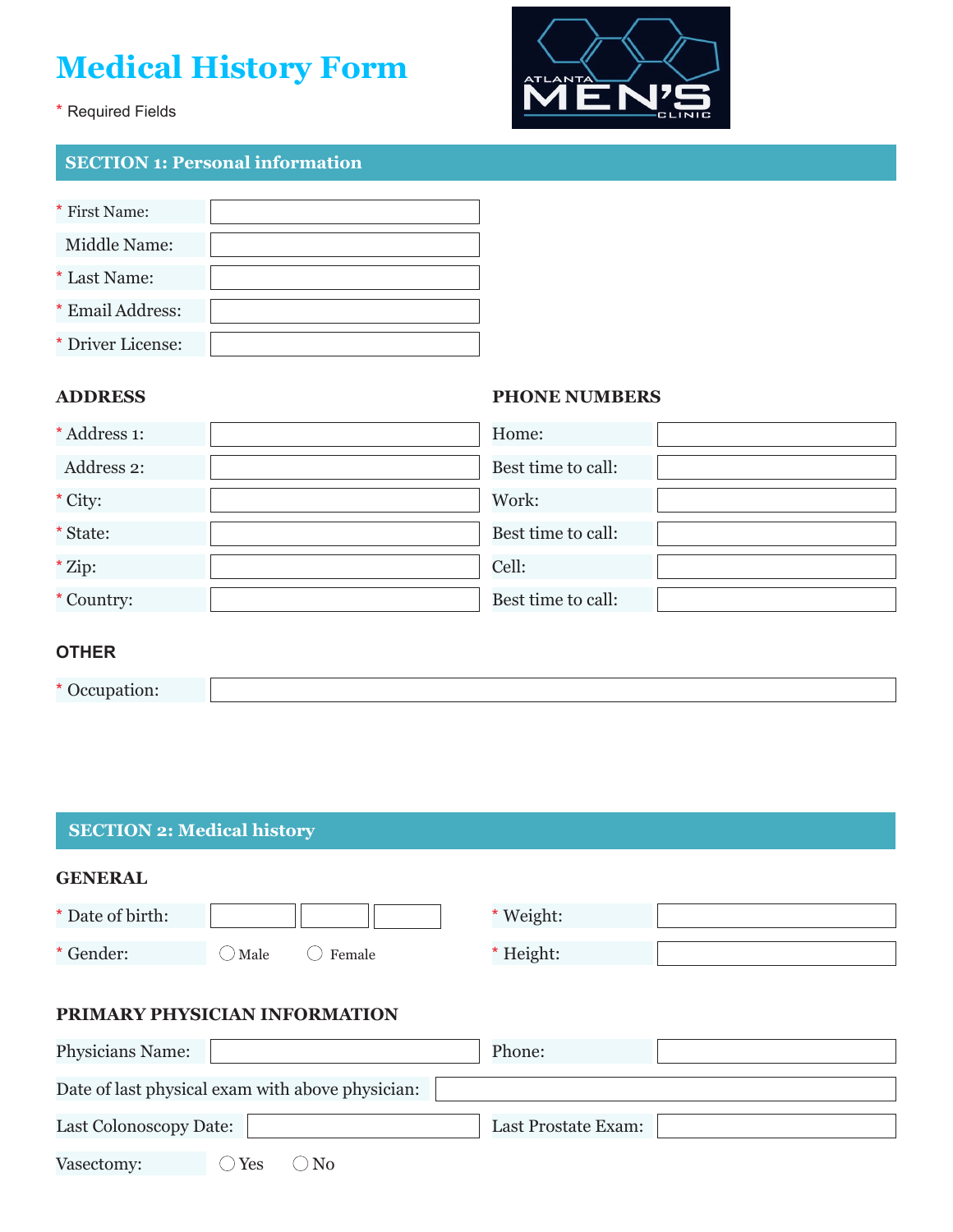# **Medical History Form**



## \* Required Fields

# **SECTION 1: Personal information**

| * First Name:     |  |
|-------------------|--|
| Middle Name:      |  |
| * Last Name:      |  |
| * Email Address:  |  |
| * Driver License: |  |

#### **ADDRESS**

#### **PHONE NUMBERS**

| * Address 1: | Home:              |  |
|--------------|--------------------|--|
| Address 2:   | Best time to call: |  |
| * City:      | Work:              |  |
| * State:     | Best time to call: |  |
| * Zip:       | Cell:              |  |
| * Country:   | Best time to call: |  |

## **OTHER**

\* Occupation:

## **SECTION 2: Medical history**

| <b>GENERAL</b>   |                 |        |           |  |
|------------------|-----------------|--------|-----------|--|
| * Date of birth: |                 |        | * Weight: |  |
| * Gender:        | $\bigcirc$ Male | Female | * Height: |  |

## **PRIMARY PHYSICIAN INFORMATION**

| <b>Physicians Name:</b> |                                                  | Phone:                     |  |
|-------------------------|--------------------------------------------------|----------------------------|--|
|                         | Date of last physical exam with above physician: |                            |  |
| Last Colonoscopy Date:  |                                                  | <b>Last Prostate Exam:</b> |  |
| Vasectomy:              | Yes<br>N <sub>0</sub>                            |                            |  |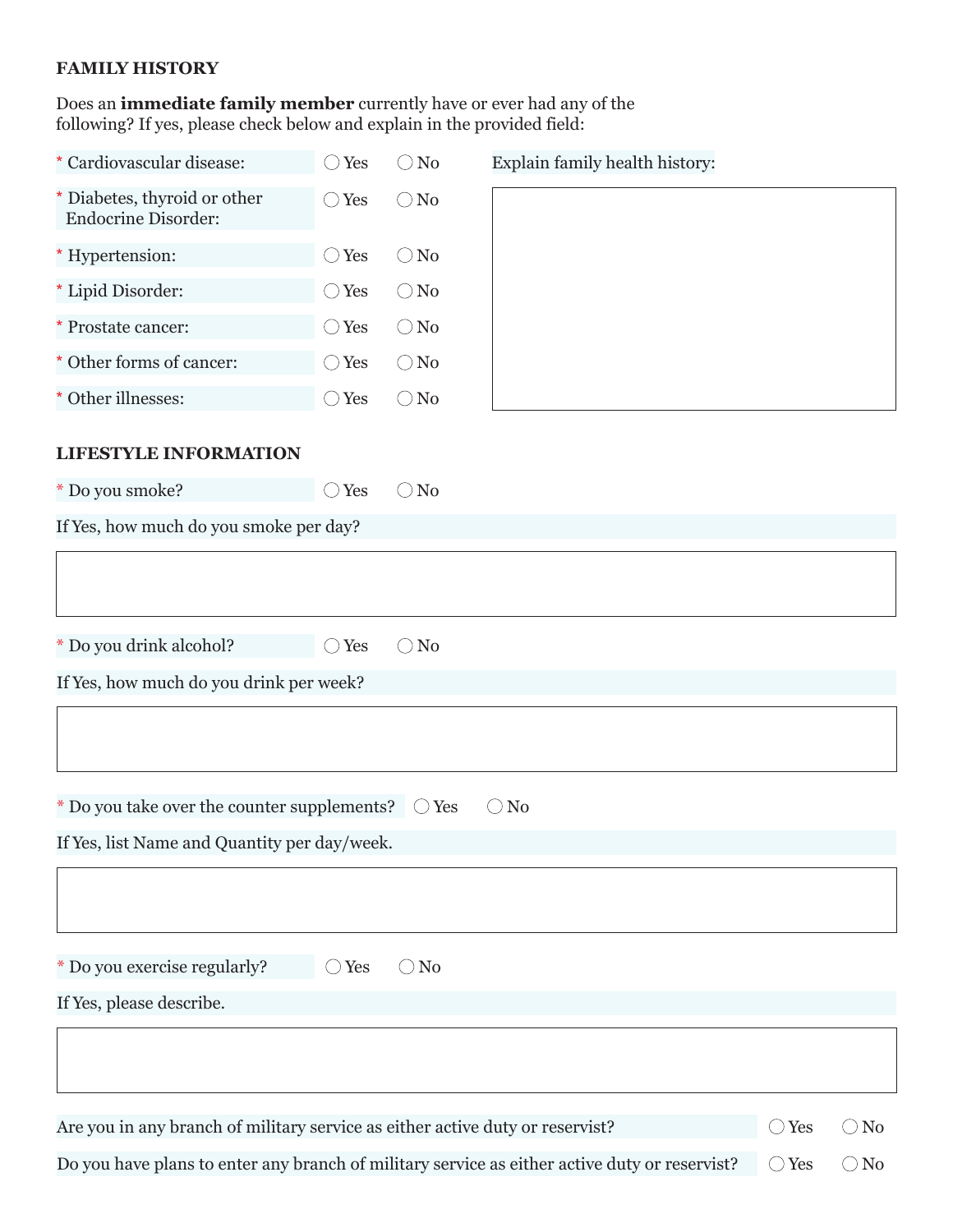## **FAMILY HISTORY**

Does an **immediate family member** currently have or ever had any of the following? If yes, please check below and explain in the provided field:

| * Cardiovascular disease:                                                                                 | $\bigcirc$ Yes | $\bigcirc$ No | Explain family health history:                                                                |                |               |
|-----------------------------------------------------------------------------------------------------------|----------------|---------------|-----------------------------------------------------------------------------------------------|----------------|---------------|
| * Diabetes, thyroid or other<br><b>Endocrine Disorder:</b>                                                | $\bigcirc$ Yes | $\bigcirc$ No |                                                                                               |                |               |
| * Hypertension:                                                                                           | $\bigcirc$ Yes | $\bigcirc$ No |                                                                                               |                |               |
| * Lipid Disorder:                                                                                         | $\bigcirc$ Yes | $\bigcirc$ No |                                                                                               |                |               |
| * Prostate cancer:                                                                                        | $\bigcirc$ Yes | $\bigcirc$ No |                                                                                               |                |               |
| * Other forms of cancer:                                                                                  | $\bigcirc$ Yes | $\bigcirc$ No |                                                                                               |                |               |
| * Other illnesses:                                                                                        | $\bigcirc$ Yes | $\bigcirc$ No |                                                                                               |                |               |
| <b>LIFESTYLE INFORMATION</b>                                                                              |                |               |                                                                                               |                |               |
| * Do you smoke?                                                                                           | $\bigcirc$ Yes | $\bigcirc$ No |                                                                                               |                |               |
| If Yes, how much do you smoke per day?                                                                    |                |               |                                                                                               |                |               |
|                                                                                                           |                |               |                                                                                               |                |               |
| * Do you drink alcohol?                                                                                   | $\bigcirc$ Yes | $\bigcirc$ No |                                                                                               |                |               |
| If Yes, how much do you drink per week?                                                                   |                |               |                                                                                               |                |               |
|                                                                                                           |                |               |                                                                                               |                |               |
| $*$ Do you take over the counter supplements? $\circ$ Yes<br>If Yes, list Name and Quantity per day/week. |                |               | $\bigcirc$ No                                                                                 |                |               |
|                                                                                                           |                |               |                                                                                               |                |               |
| * Do you exercise regularly?                                                                              | $\bigcirc$ Yes | $\bigcirc$ No |                                                                                               |                |               |
| If Yes, please describe.                                                                                  |                |               |                                                                                               |                |               |
|                                                                                                           |                |               |                                                                                               |                |               |
| Are you in any branch of military service as either active duty or reservist?                             |                |               |                                                                                               | $\bigcirc$ Yes | $\bigcirc$ No |
|                                                                                                           |                |               | Do you have plans to enter any branch of military service as either active duty or reservist? | $\bigcirc$ Yes | $\bigcirc$ No |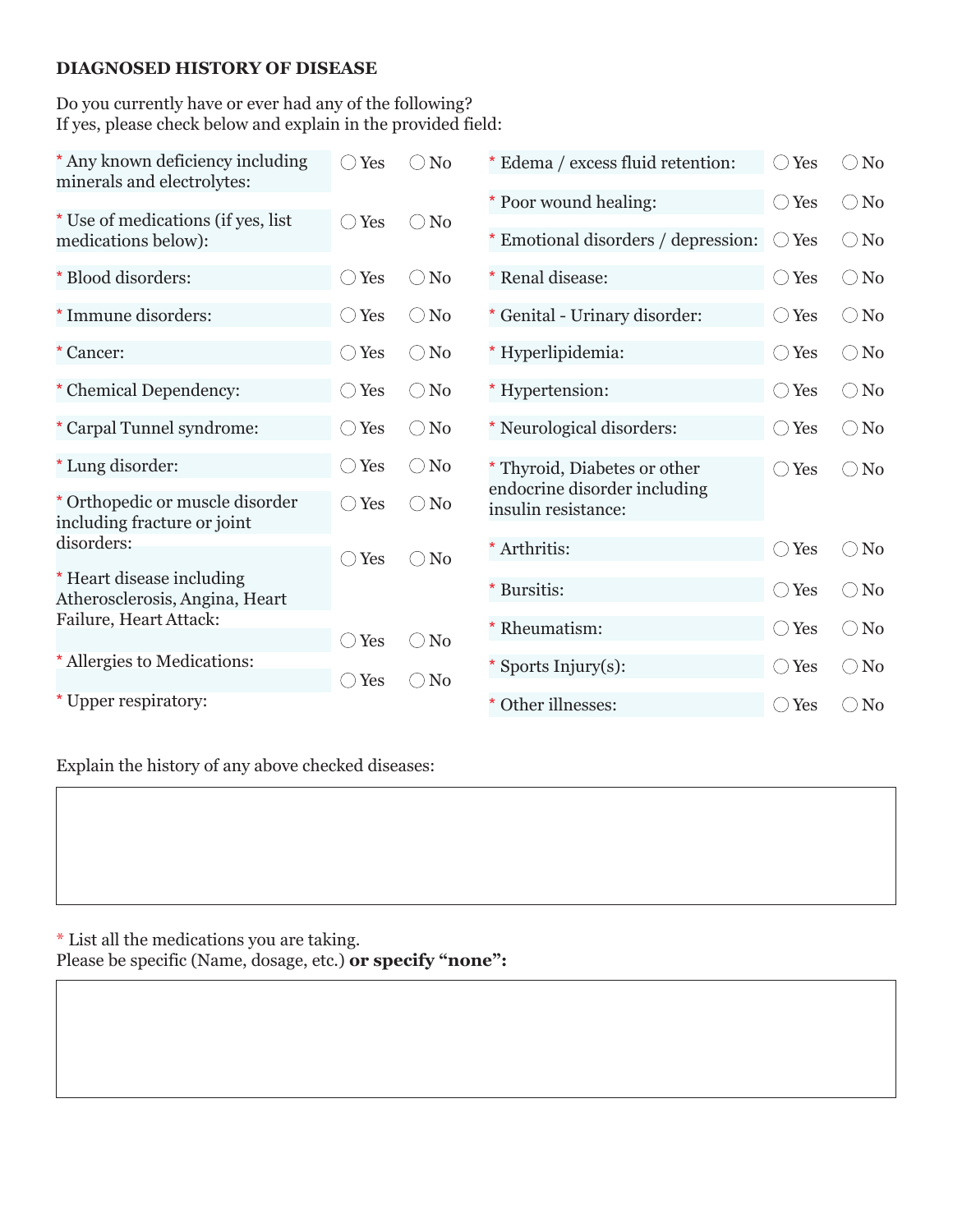### **DIAGNOSED HISTORY OF DISEASE**

Do you currently have or ever had any of the following? If yes, please check below and explain in the provided field:

| * Poor wound healing:<br>$\bigcirc$ Yes<br>* Use of medications (if yes, list<br>No<br>Yes<br>( )<br>( )<br>* Emotional disorders / depression:<br>Yes<br>medications below):<br>( )<br>* Blood disorders:<br>* Renal disease:<br>Yes<br>N <sub>0</sub><br>$\bigcirc$ Yes<br>$(\ )$ | $\bigcirc$ No<br>$\bigcirc$ No<br>$\bigcirc$ No<br>$\bigcirc$ No |
|-------------------------------------------------------------------------------------------------------------------------------------------------------------------------------------------------------------------------------------------------------------------------------------|------------------------------------------------------------------|
|                                                                                                                                                                                                                                                                                     |                                                                  |
|                                                                                                                                                                                                                                                                                     |                                                                  |
|                                                                                                                                                                                                                                                                                     |                                                                  |
| *Immune disorders:<br>* Genital - Urinary disorder:<br>Yes<br>$\bigcirc$ No<br>$\bigcirc$ Yes<br>$\rightarrow$                                                                                                                                                                      |                                                                  |
| * Hyperlipidemia:<br>* Cancer:<br>Yes<br>No<br>$\bigcirc$ Yes<br>$\left(\begin{array}{c} \end{array}\right)$<br>$\rightarrow$                                                                                                                                                       | No<br>$\left(\begin{array}{c} \end{array}\right)$                |
| * Chemical Dependency:<br>$\bigcirc$ No<br>* Hypertension:<br>Yes<br>$\bigcirc$ Yes<br>$\left(\begin{array}{c} \end{array}\right)$                                                                                                                                                  | $\bigcirc$ No                                                    |
| * Carpal Tunnel syndrome:<br>$\bigcirc$ No<br>* Neurological disorders:<br>Yes<br>$\bigcirc$ Yes<br>$\left(\begin{array}{c}\right)$                                                                                                                                                 | $\bigcirc$ No                                                    |
| * Lung disorder:<br>$\bigcirc$ No<br>Yes<br>$\left(\begin{array}{c} \end{array}\right)$<br>* Thyroid, Diabetes or other<br>$\bigcirc$ Yes                                                                                                                                           | $\bigcirc$ No                                                    |
| endocrine disorder including<br>* Orthopedic or muscle disorder<br>Yes<br>$\bigcirc$ No<br>◯<br>insulin resistance:<br>including fracture or joint                                                                                                                                  |                                                                  |
| disorders:<br>* Arthritis:<br>$\bigcirc$ Yes<br>Yes<br>N <sub>o</sub><br>$(\ )$<br>$( \ )$                                                                                                                                                                                          | $\bigcirc$ No                                                    |
| * Heart disease including<br>* Bursitis:<br>$\bigcirc$ Yes<br>Atherosclerosis, Angina, Heart                                                                                                                                                                                        | $\bigcirc$ No                                                    |
| Failure, Heart Attack:<br>* Rheumatism:<br>$\bigcirc$ Yes<br>Yes<br>N <sub>0</sub><br>$\left(\begin{array}{c} \end{array}\right)$<br>С.                                                                                                                                             | $\rm No$<br>$\left(\begin{array}{c} 1 \end{array}\right)$        |
| * Allergies to Medications:<br>* Sports Injury(s):<br>$\bigcirc$ Yes<br>Yes<br>$\bigcirc$ No<br>$^{\circ}$ )                                                                                                                                                                        | $\bigcirc$ No                                                    |
| Upper respiratory:<br>* Other illnesses:<br>$\bigcirc$ Yes                                                                                                                                                                                                                          | N <sub>0</sub><br>( )                                            |

Explain the history of any above checked diseases:

\* List all the medications you are taking. Please be specific (Name, dosage, etc.) **or specify "none":**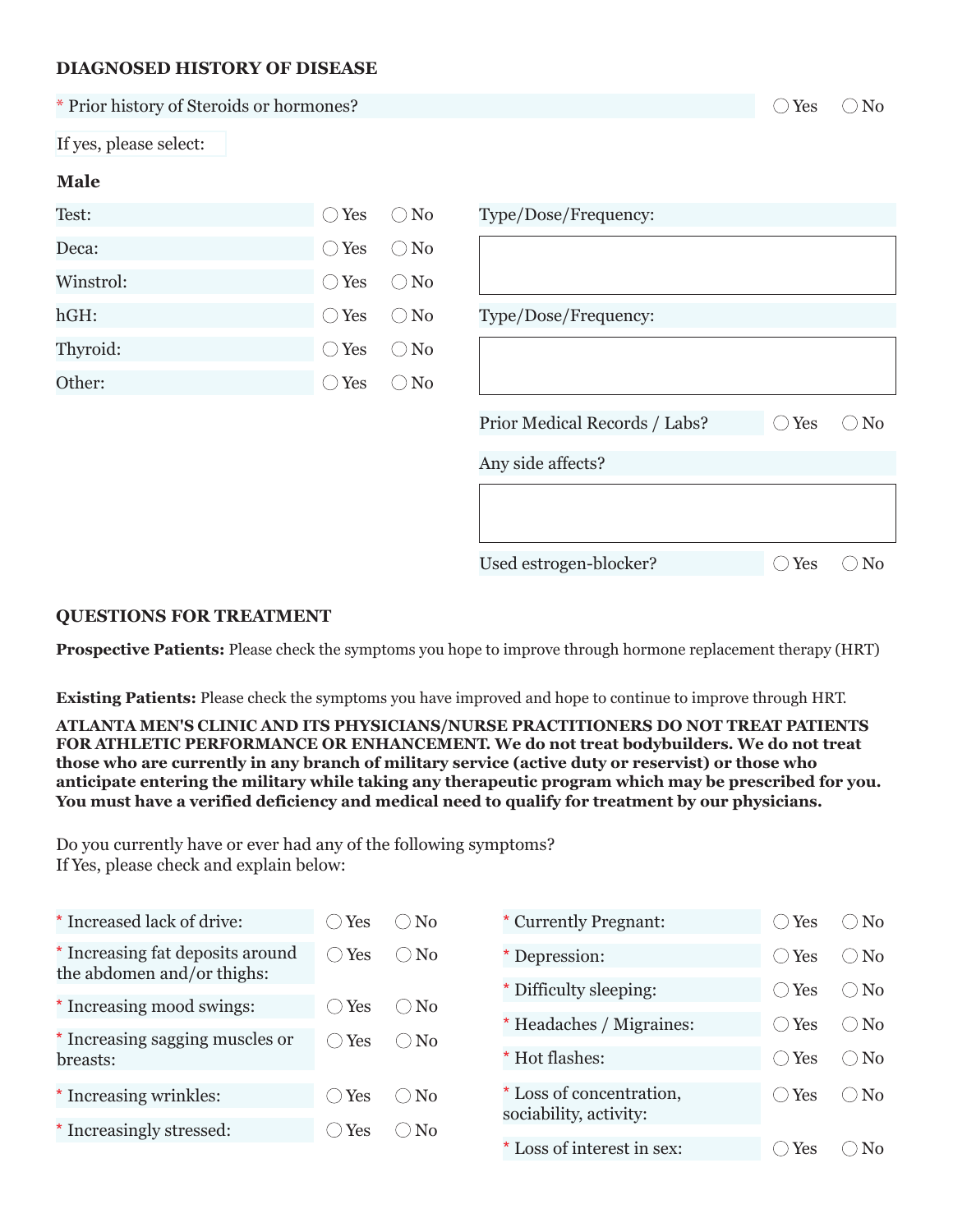#### **DIAGNOSED HISTORY OF DISEASE**

| * Prior history of Steroids or hormones? |                             |               |                               | Yes<br>$($ )   | $\bigcirc$ No |
|------------------------------------------|-----------------------------|---------------|-------------------------------|----------------|---------------|
| If yes, please select:                   |                             |               |                               |                |               |
| <b>Male</b>                              |                             |               |                               |                |               |
| Test:                                    | Yes<br>$($ )                | $\bigcirc$ No | Type/Dose/Frequency:          |                |               |
| Deca:                                    | $\bigcirc$ Yes              | $\bigcirc$ No |                               |                |               |
| Winstrol:                                | $\bigcirc$ Yes              | $\bigcirc$ No |                               |                |               |
| hGH:                                     | Yes<br>$(\phantom{a})$      | $\bigcirc$ No | Type/Dose/Frequency:          |                |               |
| Thyroid:                                 | Yes<br>$\qquad \qquad \Box$ | $\bigcirc$ No |                               |                |               |
| Other:                                   | $\bigcirc$ Yes              | $\bigcirc$ No |                               |                |               |
|                                          |                             |               | Prior Medical Records / Labs? | $\bigcirc$ Yes | $\bigcirc$ No |
|                                          |                             |               | Any side affects?             |                |               |
|                                          |                             |               |                               |                |               |
|                                          |                             |               | Used estrogen-blocker?        | $\bigcirc$ Yes | No            |

#### **QUESTIONS FOR TREATMENT**

**Prospective Patients:** Please check the symptoms you hope to improve through hormone replacement therapy (HRT)

**Existing Patients:** Please check the symptoms you have improved and hope to continue to improve through HRT.

**ATLANTA MEN'S CLINIC AND ITS PHYSICIANS/NURSE PRACTITIONERS DO NOT TREAT PATIENTS FOR ATHLETIC PERFORMANCE OR ENHANCEMENT. We do not treat bodybuilders. We do not treat those who are currently in any branch of military service (active duty or reservist) or those who anticipate entering the military while taking any therapeutic program which may be prescribed for you. You must have a verified deficiency and medical need to qualify for treatment by our physicians.**

Do you currently have or ever had any of the following symptoms? If Yes, please check and explain below:

| * Increased lack of drive:                                     | Yes                  | $\bigcirc$ No | * Currently Pregnant:    | Yes<br>$\rightarrow$    | $\bigcirc$ No  |
|----------------------------------------------------------------|----------------------|---------------|--------------------------|-------------------------|----------------|
| * Increasing fat deposits around<br>the abdomen and/or thighs: | Yes<br>$\rightarrow$ | $\bigcirc$ No | Depression:              | Yes<br>$\rightarrow$    | $\bigcirc$ No  |
|                                                                |                      |               | * Difficulty sleeping:   | Yes<br>$\hspace{1.5cm}$ | () No          |
| * Increasing mood swings:                                      | Yes                  | $\bigcirc$ No | * Headaches / Migraines: | Yes                     | $\bigcirc$ No  |
| * Increasing sagging muscles or<br>breasts:                    | Yes                  | $\bigcirc$ No | * Hot flashes:           | Yes                     | $\bigcirc$ No  |
| * Increasing wrinkles:                                         | $\bigcirc$ Yes       | $\bigcirc$ No | * Loss of concentration, | Yes                     | $\bigcirc$ No  |
| * Increasingly stressed:                                       | Yes                  | $\bigcirc$ No | sociability, activity:   |                         |                |
|                                                                |                      |               | Loss of interest in sex: | Yes                     | N <sub>0</sub> |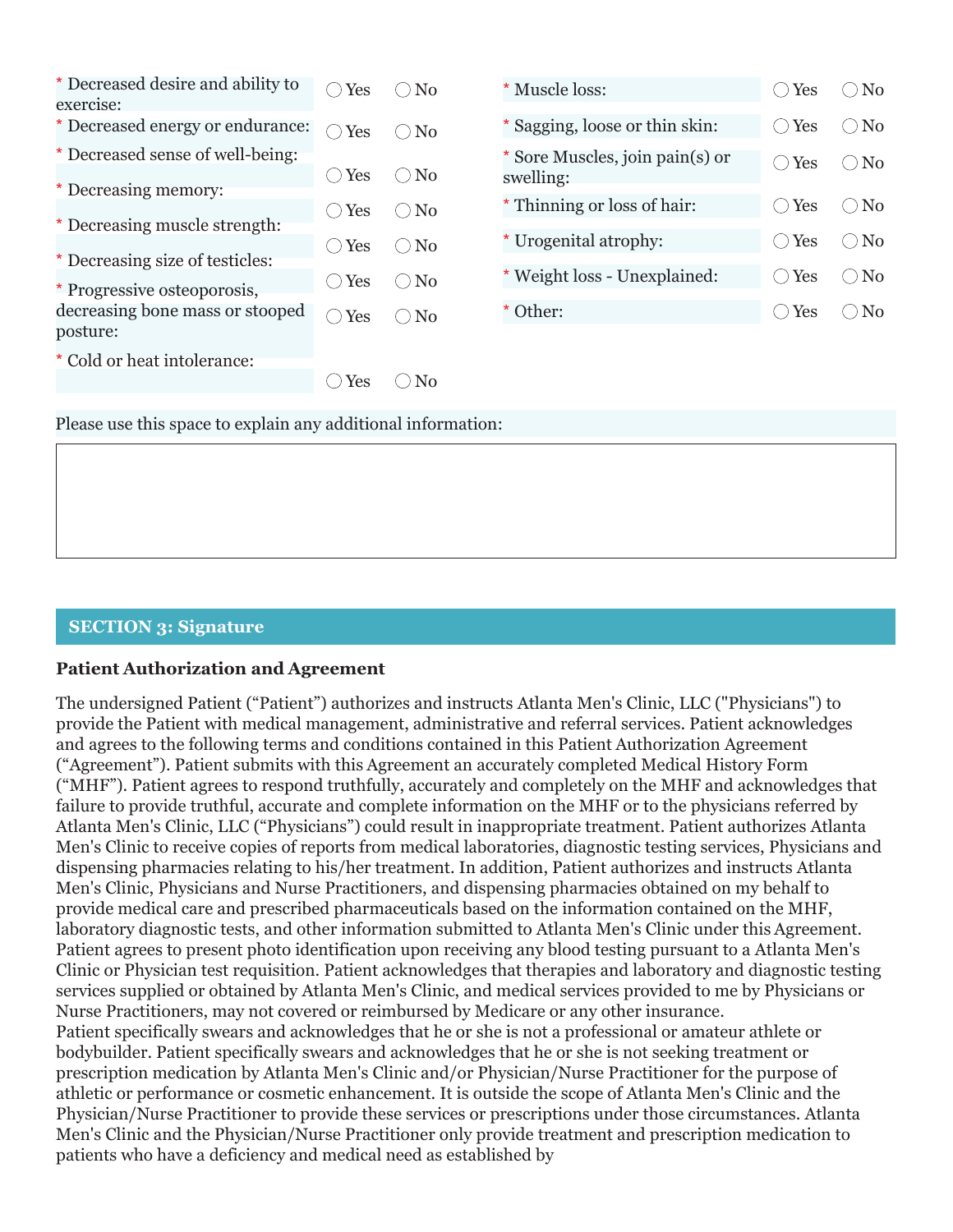| * Decreased desire and ability to<br>exercise: | Yes            | $\bigcirc$ No  | * Muscle loss:                               | Yes<br>$($ )   | $\bigcirc$ No         |
|------------------------------------------------|----------------|----------------|----------------------------------------------|----------------|-----------------------|
| * Decreased energy or endurance:               | Yes            | $\bigcirc$ No  | * Sagging, loose or thin skin:               | Yes<br>$( \ )$ | No<br>$(\phantom{a})$ |
| * Decreased sense of well-being:               | Yes            | $\bigcirc$ No  | * Sore Muscles, join pain(s) or<br>swelling: | Yes<br>$( \ )$ | No<br>$(\ \ )$        |
| * Decreasing memory:                           |                |                | * Thinning or loss of hair:                  | Yes<br>$($ )   | $\log$<br>$( \ )$     |
| * Decreasing muscle strength:                  | $\bigcirc$ Yes | $\bigcirc$ No  |                                              |                |                       |
|                                                | $\bigcirc$ Yes | $\bigcirc$ No  | * Urogenital atrophy:                        | Yes<br>$($ )   | No<br>$( \ )$         |
| * Decreasing size of testicles:                | $\bigcirc$ Yes | $\bigcirc$ No  | * Weight loss - Unexplained:                 | Yes<br>$($ )   | No<br>$(\ )$          |
| * Progressive osteoporosis,                    |                |                |                                              |                |                       |
| decreasing bone mass or stooped<br>posture:    | Yes            | $\bigcirc$ No  | * Other:                                     | Yes<br>( )     | No<br>⊖               |
| * Cold or heat intolerance:                    |                |                |                                              |                |                       |
|                                                | Yes            | N <sub>0</sub> |                                              |                |                       |

Please use this space to explain any additional information:

## **SECTION 3: Signature**

#### **Patient Authorization and Agreement**

The undersigned Patient ("Patient") authorizes and instructs Atlanta Men's Clinic, LLC ("Physicians") to provide the Patient with medical management, administrative and referral services. Patient acknowledges and agrees to the following terms and conditions contained in this Patient Authorization Agreement ("Agreement"). Patient submits with this Agreement an accurately completed Medical History Form ("MHF"). Patient agrees to respond truthfully, accurately and completely on the MHF and acknowledges that failure to provide truthful, accurate and complete information on the MHF or to the physicians referred by Atlanta Men's Clinic, LLC ("Physicians") could result in inappropriate treatment. Patient authorizes Atlanta Men's Clinic to receive copies of reports from medical laboratories, diagnostic testing services, Physicians and dispensing pharmacies relating to his/her treatment. In addition, Patient authorizes and instructs Atlanta Men's Clinic, Physicians and Nurse Practitioners, and dispensing pharmacies obtained on my behalf to provide medical care and prescribed pharmaceuticals based on the information contained on the MHF, laboratory diagnostic tests, and other information submitted to Atlanta Men's Clinic under this Agreement. Patient agrees to present photo identification upon receiving any blood testing pursuant to a Atlanta Men's Clinic or Physician test requisition. Patient acknowledges that therapies and laboratory and diagnostic testing services supplied or obtained by Atlanta Men's Clinic, and medical services provided to me by Physicians or Nurse Practitioners, may not covered or reimbursed by Medicare or any other insurance. Patient specifically swears and acknowledges that he or she is not a professional or amateur athlete or bodybuilder. Patient specifically swears and acknowledges that he or she is not seeking treatment or prescription medication by Atlanta Men's Clinic and/or Physician/Nurse Practitioner for the purpose of athletic or performance or cosmetic enhancement. It is outside the scope of Atlanta Men's Clinic and the Physician/Nurse Practitioner to provide these services or prescriptions under those circumstances. Atlanta Men's Clinic and the Physician/Nurse Practitioner only provide treatment and prescription medication to patients who have a deficiency and medical need as established by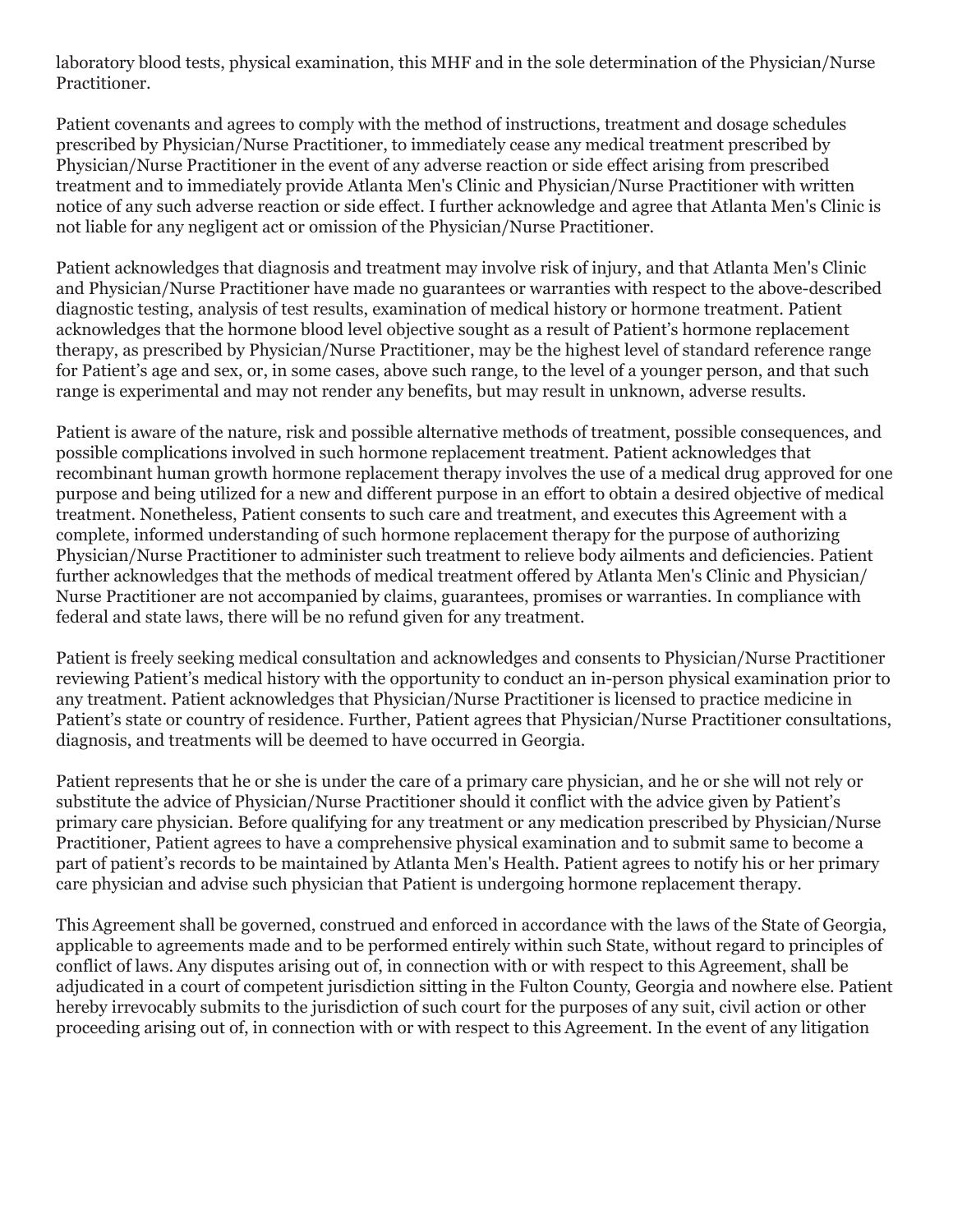laboratory blood tests, physical examination, this MHF and in the sole determination of the Physician/Nurse Practitioner.

Patient covenants and agrees to comply with the method of instructions, treatment and dosage schedules prescribed by Physician/Nurse Practitioner, to immediately cease any medical treatment prescribed by Physician/Nurse Practitioner in the event of any adverse reaction or side effect arising from prescribed treatment and to immediately provide Atlanta Men's Clinic and Physician/Nurse Practitioner with written notice of any such adverse reaction or side effect. I further acknowledge and agree that Atlanta Men's Clinic is not liable for any negligent act or omission of the Physician/Nurse Practitioner.

Patient acknowledges that diagnosis and treatment may involve risk of injury, and that Atlanta Men's Clinic and Physician/Nurse Practitioner have made no guarantees or warranties with respect to the above-described diagnostic testing, analysis of test results, examination of medical history or hormone treatment. Patient acknowledges that the hormone blood level objective sought as a result of Patient's hormone replacement therapy, as prescribed by Physician/Nurse Practitioner, may be the highest level of standard reference range for Patient's age and sex, or, in some cases, above such range, to the level of a younger person, and that such range is experimental and may not render any benefits, but may result in unknown, adverse results.

Patient is aware of the nature, risk and possible alternative methods of treatment, possible consequences, and possible complications involved in such hormone replacement treatment. Patient acknowledges that recombinant human growth hormone replacement therapy involves the use of a medical drug approved for one purpose and being utilized for a new and different purpose in an effort to obtain a desired objective of medical treatment. Nonetheless, Patient consents to such care and treatment, and executes this Agreement with a complete, informed understanding of such hormone replacement therapy for the purpose of authorizing Physician/Nurse Practitioner to administer such treatment to relieve body ailments and deficiencies. Patient further acknowledges that the methods of medical treatment offered by Atlanta Men's Clinic and Physician/ Nurse Practitioner are not accompanied by claims, guarantees, promises or warranties. In compliance with federal and state laws, there will be no refund given for any treatment.

Patient is freely seeking medical consultation and acknowledges and consents to Physician/Nurse Practitioner reviewing Patient's medical history with the opportunity to conduct an in-person physical examination prior to any treatment. Patient acknowledges that Physician/Nurse Practitioner is licensed to practice medicine in Patient's state or country of residence. Further, Patient agrees that Physician/Nurse Practitioner consultations, diagnosis, and treatments will be deemed to have occurred in Georgia.

Patient represents that he or she is under the care of a primary care physician, and he or she will not rely or substitute the advice of Physician/Nurse Practitioner should it conflict with the advice given by Patient's primary care physician. Before qualifying for any treatment or any medication prescribed by Physician/Nurse Practitioner, Patient agrees to have a comprehensive physical examination and to submit same to become a part of patient's records to be maintained by Atlanta Men's Health. Patient agrees to notify his or her primary care physician and advise such physician that Patient is undergoing hormone replacement therapy.

This Agreement shall be governed, construed and enforced in accordance with the laws of the State of Georgia, applicable to agreements made and to be performed entirely within such State, without regard to principles of conflict of laws. Any disputes arising out of, in connection with or with respect to this Agreement, shall be adjudicated in a court of competent jurisdiction sitting in the Fulton County, Georgia and nowhere else. Patient hereby irrevocably submits to the jurisdiction of such court for the purposes of any suit, civil action or other proceeding arising out of, in connection with or with respect to this Agreement. In the event of any litigation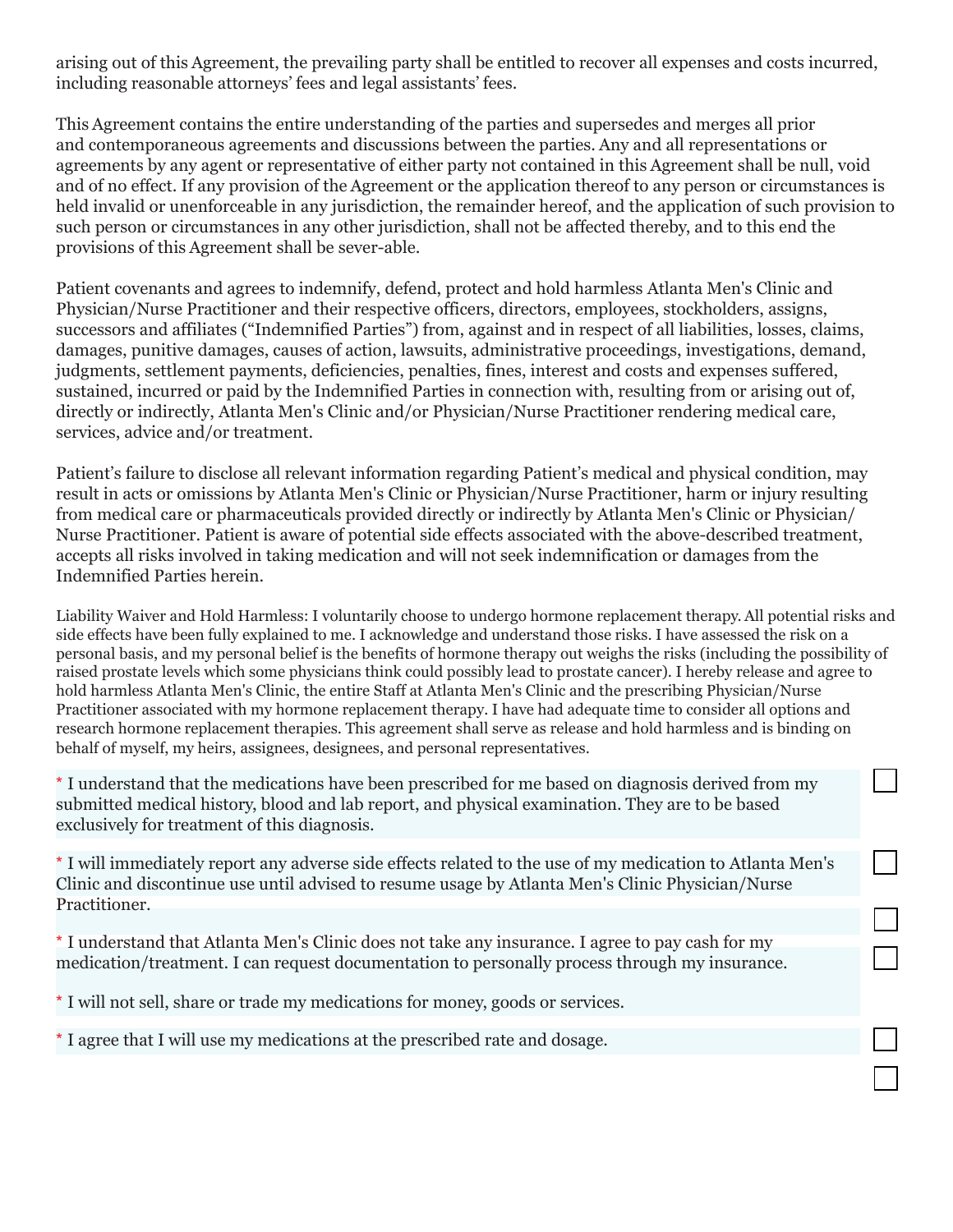arising out of this Agreement, the prevailing party shall be entitled to recover all expenses and costs incurred, including reasonable attorneys' fees and legal assistants' fees.

This Agreement contains the entire understanding of the parties and supersedes and merges all prior and contemporaneous agreements and discussions between the parties. Any and all representations or agreements by any agent or representative of either party not contained in this Agreement shall be null, void and of no effect. If any provision of the Agreement or the application thereof to any person or circumstances is held invalid or unenforceable in any jurisdiction, the remainder hereof, and the application of such provision to such person or circumstances in any other jurisdiction, shall not be affected thereby, and to this end the provisions of this Agreement shall be sever-able.

Patient covenants and agrees to indemnify, defend, protect and hold harmless Atlanta Men's Clinic and Physician/Nurse Practitioner and their respective officers, directors, employees, stockholders, assigns, successors and affiliates ("Indemnified Parties") from, against and in respect of all liabilities, losses, claims, damages, punitive damages, causes of action, lawsuits, administrative proceedings, investigations, demand, judgments, settlement payments, deficiencies, penalties, fines, interest and costs and expenses suffered, sustained, incurred or paid by the Indemnified Parties in connection with, resulting from or arising out of, directly or indirectly, Atlanta Men's Clinic and/or Physician/Nurse Practitioner rendering medical care, services, advice and/or treatment.

Patient's failure to disclose all relevant information regarding Patient's medical and physical condition, may result in acts or omissions by Atlanta Men's Clinic or Physician/Nurse Practitioner, harm or injury resulting from medical care or pharmaceuticals provided directly or indirectly by Atlanta Men's Clinic or Physician/ Nurse Practitioner. Patient is aware of potential side effects associated with the above-described treatment, accepts all risks involved in taking medication and will not seek indemnification or damages from the Indemnified Parties herein.

Liability Waiver and Hold Harmless: I voluntarily choose to undergo hormone replacement therapy. All potential risks and side effects have been fully explained to me. I acknowledge and understand those risks. I have assessed the risk on a personal basis, and my personal belief is the benefits of hormone therapy out weighs the risks (including the possibility of raised prostate levels which some physicians think could possibly lead to prostate cancer). I hereby release and agree to hold harmless Atlanta Men's Clinic, the entire Staff at Atlanta Men's Clinic and the prescribing Physician/Nurse Practitioner associated with my hormone replacement therapy. I have had adequate time to consider all options and research hormone replacement therapies. This agreement shall serve as release and hold harmless and is binding on behalf of myself, my heirs, assignees, designees, and personal representatives.

\* I understand that the medications have been prescribed for me based on diagnosis derived from my submitted medical history, blood and lab report, and physical examination. They are to be based exclusively for treatment of this diagnosis.

\* I will immediately report any adverse side effects related to the use of my medication to Atlanta Men's Clinic and discontinue use until advised to resume usage by Atlanta Men's Clinic Physician/Nurse Practitioner.

 $\overline{\phantom{0}}$ 

\* I understand that Atlanta Men's Clinic does not take any insurance. I agree to pay cash for my medication/treatment. I can request documentation to personally process through my insurance.

\* I will not sell, share or trade my medications for money, goods or services.

\* I agree that I will use my medications at the prescribed rate and dosage.